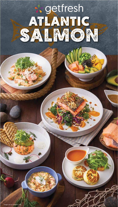